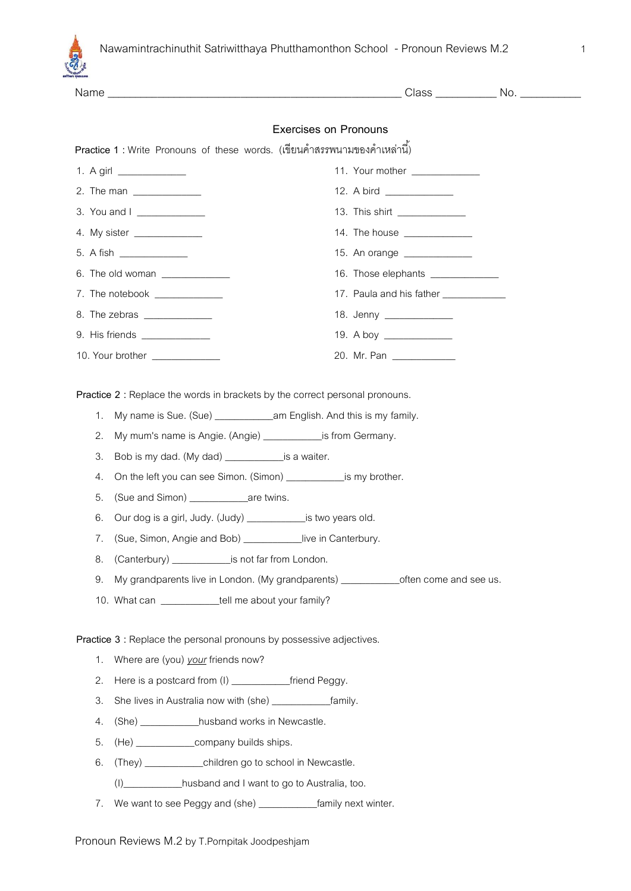

| J | am |  |
|---|----|--|

Name \_\_\_\_\_\_\_\_\_\_\_\_\_\_\_\_\_\_\_\_\_\_\_\_\_\_\_\_\_\_\_\_\_\_\_\_\_\_\_\_\_\_\_\_\_\_\_\_\_\_\_\_\_ Class \_\_\_\_\_\_\_\_\_\_\_ No. \_\_\_\_\_\_\_\_\_\_\_

## **Exercises on Pronouns**

**Practice 1 : Write Pronouns of these words. (เขียนคำสรรพนามของคำเหล่านี้)** 

| 1. A girl ______________                                                 | 11. Your mother _____________                                                                                           |
|--------------------------------------------------------------------------|-------------------------------------------------------------------------------------------------------------------------|
|                                                                          | 12. A bird ______________                                                                                               |
| 3. You and $\Box$                                                        | 13. This shirt ______________                                                                                           |
| 4. My sister _______________                                             | 14. The house _______________                                                                                           |
| 5. A fish _______________                                                | 15. An orange ______________                                                                                            |
| 6. The old woman ______________                                          | 16. Those elephants ______________                                                                                      |
| 7. The notebook ______________                                           | 17. Paula and his father <b>constant of the set of the set of the set of the set of the set of the set of the set o</b> |
| 8. The zebras _______________                                            |                                                                                                                         |
| 9. His friends _______________                                           | 19. A boy _______________                                                                                               |
| 10. Your brother<br>$\mathcal{L}^{\text{max}}(\mathcal{L}^{\text{max}})$ | 20. Mr. Pan                                                                                                             |

**Practice 2** : Replace the words in brackets by the correct personal pronouns.

- 1. My name is Sue. (Sue) \_\_\_\_\_\_\_\_\_\_\_\_am English. And this is my family.
- 2. My mum's name is Angie. (Angie) \_\_\_\_\_\_\_\_\_\_\_\_is from Germany.
- 3. Bob is my dad. (My dad) \_\_\_\_\_\_\_\_\_\_\_\_is a waiter.
- 4. On the left you can see Simon. (Simon) \_\_\_\_\_\_\_\_\_\_\_\_\_\_ is my brother.
- 5. (Sue and Simon) \_\_\_\_\_\_\_\_\_\_\_\_are twins.
- 6. Our dog is a girl, Judy. (Judy) \_\_\_\_\_\_\_\_\_\_\_\_is two years old.
- 7. (Sue, Simon, Angie and Bob) \_\_\_\_\_\_\_\_\_\_\_\_live in Canterbury.
- 8. (Canterbury) \_\_\_\_\_\_\_\_\_\_\_\_\_\_\_\_is not far from London.
- 9. My grandparents live in London. (My grandparents) \_\_\_\_\_\_\_\_\_\_\_\_\_often come and see us.
- 10. What can \_\_\_\_\_\_\_\_\_\_\_\_tell me about your family?

**Practice 3 :** Replace the personal pronouns by possessive adjectives.

- 1. Where are (you) *your* friends now?
- 2. Here is a postcard from (I) \_\_\_\_\_\_\_\_\_\_\_\_\_\_friend Peggy.
- 3. She lives in Australia now with (she) \_\_\_\_\_\_\_\_\_\_\_\_family.
- 4. (She) \_\_\_\_\_\_\_\_\_\_\_\_husband works in Newcastle.
- 5. (He) \_\_\_\_\_\_\_\_\_\_\_\_company builds ships.
- 6. (They) \_\_\_\_\_\_\_\_\_\_\_\_children go to school in Newcastle.
	- (I)\_\_\_\_\_\_\_\_\_\_\_\_husband and I want to go to Australia, too.
- 7. We want to see Peggy and (she) \_\_\_\_\_\_\_\_\_\_\_\_\_family next winter.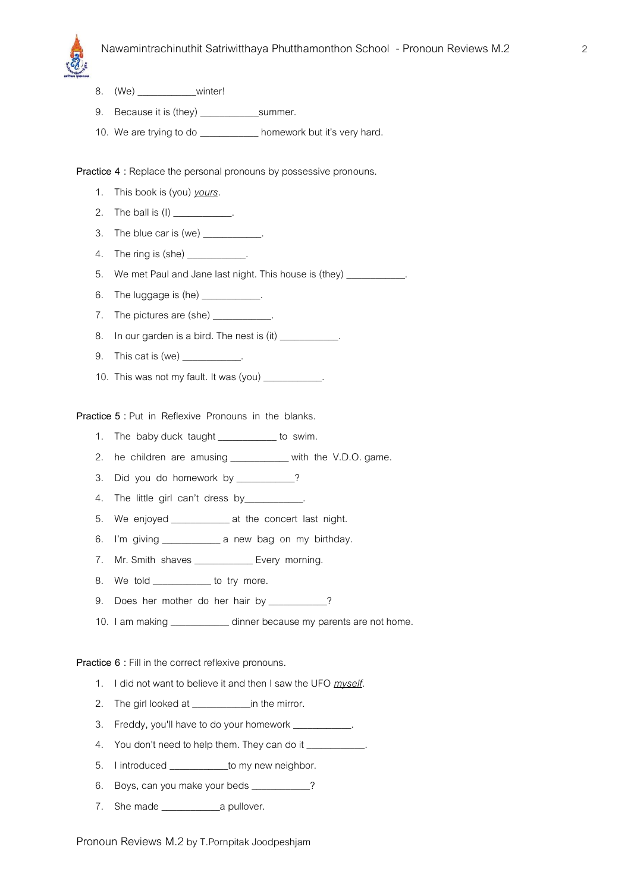

- 8. (We) winter!
- 9. Because it is (they) \_\_\_\_\_\_\_\_\_\_\_\_summer.
- 10. We are trying to do \_\_\_\_\_\_\_\_\_\_\_\_ homework but it's very hard.

**Practice 4 :** Replace the personal pronouns by possessive pronouns.

- 1. This book is (you) *yours*.
- 2. The ball is  $(I)$
- 3. The blue car is (we) \_\_\_\_\_\_\_\_\_\_.
- 4. The ring is (she) \_\_\_\_\_\_\_\_\_\_\_.
- 5. We met Paul and Jane last night. This house is (they) \_\_\_\_\_\_\_\_\_\_\_.
- 6. The luggage is (he) \_\_\_\_\_\_\_\_\_
- 7. The pictures are (she) \_\_\_\_\_\_\_\_\_\_\_.
- 8. In our garden is a bird. The nest is (it) \_\_\_\_\_\_\_\_\_\_\_.
- 9. This cat is (we) \_\_\_\_\_\_\_\_\_\_\_.
- 10. This was not my fault. It was (you)

**Practice 5 :** Put in Reflexive Pronouns in the blanks.

- 1. The baby duck taught \_\_\_\_\_\_\_\_\_\_\_ to swim.
- 2. he children are amusing \_\_\_\_\_\_\_\_\_\_\_ with the V.D.O. game.
- 3. Did you do homework by \_\_\_\_\_\_\_\_\_\_?
- 4. The little girl can't dress by\_\_\_\_\_\_\_\_\_\_\_.
- 5. We enjoyed \_\_\_\_\_\_\_\_\_\_\_\_ at the concert last night.
- 6. I'm giving \_\_\_\_\_\_\_\_\_\_\_\_ a new bag on my birthday.
- 7. Mr. Smith shaves \_\_\_\_\_\_\_\_\_\_\_\_\_ Every morning.
- 8. We told \_\_\_\_\_\_\_\_\_\_\_\_ to try more.
- 9. Does her mother do her hair by \_\_\_\_\_\_\_\_\_?
- 10. I am making \_\_\_\_\_\_\_\_\_\_\_\_ dinner because my parents are not home.

**Practice 6 :** Fill in the correct reflexive pronouns.

- 1. I did not want to believe it and then I saw the UFO *myself*.
- 2. The girl looked at The mirror.
- 3. Freddy, you'll have to do your homework \_\_\_\_\_\_\_\_\_\_.
- 4. You don't need to help them. They can do it \_\_\_\_\_\_\_\_\_\_\_\_\_\_\_\_\_\_\_\_\_\_\_\_\_\_\_\_\_\_\_\_\_
- 5. I introduced \_\_\_\_\_\_\_\_\_\_\_\_to my new neighbor.
- 6. Boys, can you make your beds \_\_\_\_\_\_\_\_\_?
- 7. She made \_\_\_\_\_\_\_\_\_\_\_\_a pullover.

Pronoun Reviews M.2 by T.Pornpitak Joodpeshjam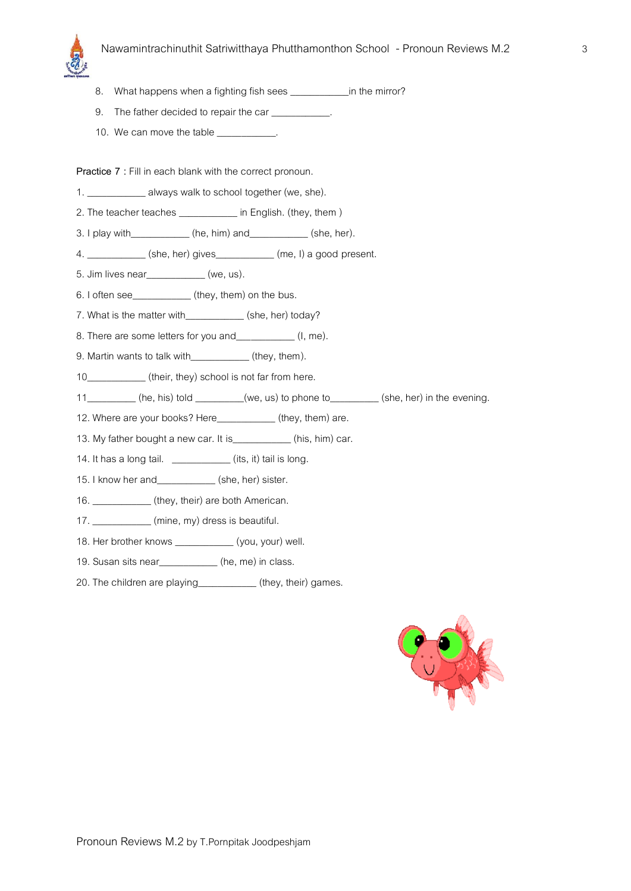

- 8. What happens when a fighting fish sees \_\_\_\_\_\_\_\_\_\_\_\_in the mirror?
- 9. The father decided to repair the car  $\qquad \qquad$ .
- 10. We can move the table \_\_\_\_\_\_\_\_\_\_\_\_.

**Practice 7 :** Fill in each blank with the correct pronoun.

- 1. \_\_\_\_\_\_\_\_\_\_\_\_ always walk to school together (we, she).
- 2. The teacher teaches \_\_\_\_\_\_\_\_\_\_\_\_ in English. (they, them )
- $3.1$  play with  $\qquad \qquad$  (he, him) and  $\qquad \qquad$  (she, her).
- 4. \_\_\_\_\_\_\_\_\_\_\_\_\_\_ (she, her) gives\_\_\_\_\_\_\_\_\_\_\_\_ (me, I) a good present.
- $5.$  Jim lives near<br> $(we, us).$
- 6. I often see\_\_\_\_\_\_\_\_\_\_\_\_ (they, them) on the bus.
- 7. What is the matter with\_\_\_\_\_\_\_\_\_\_\_\_ (she, her) today?
- 8. There are some letters for you and \_\_\_\_\_\_\_\_\_\_\_\_ (I, me).
- 9. Martin wants to talk with\_\_\_\_\_\_\_\_\_\_\_\_\_ (they, them).
- 10\_\_\_\_\_\_\_\_\_\_\_\_ (their, they) school is not far from here.
- 11\_\_\_\_\_\_\_\_\_\_ (he, his) told \_\_\_\_\_\_\_\_(we, us) to phone to\_\_\_\_\_\_\_\_\_\_ (she, her) in the evening.
- 12. Where are your books? Here\_\_\_\_\_\_\_\_\_\_\_\_ (they, them) are.
- 13. My father bought a new car. It is\_\_\_\_\_\_\_\_\_\_\_\_ (his, him) car.
- 14. It has a long tail. \_\_\_\_\_\_\_\_\_\_\_\_ (its, it) tail is long.
- 15. I know her and\_\_\_\_\_\_\_\_\_\_\_\_ (she, her) sister.
- 16. \_\_\_\_\_\_\_\_\_\_\_\_ (they, their) are both American.
- 17. \_\_\_\_\_\_\_\_\_\_\_\_ (mine, my) dress is beautiful.
- 18. Her brother knows \_\_\_\_\_\_\_\_\_\_\_\_ (you, your) well.
- 19. Susan sits near\_\_\_\_\_\_\_\_\_\_\_\_ (he, me) in class.
- 20. The children are playing\_\_\_\_\_\_\_\_\_\_\_\_\_ (they, their) games.